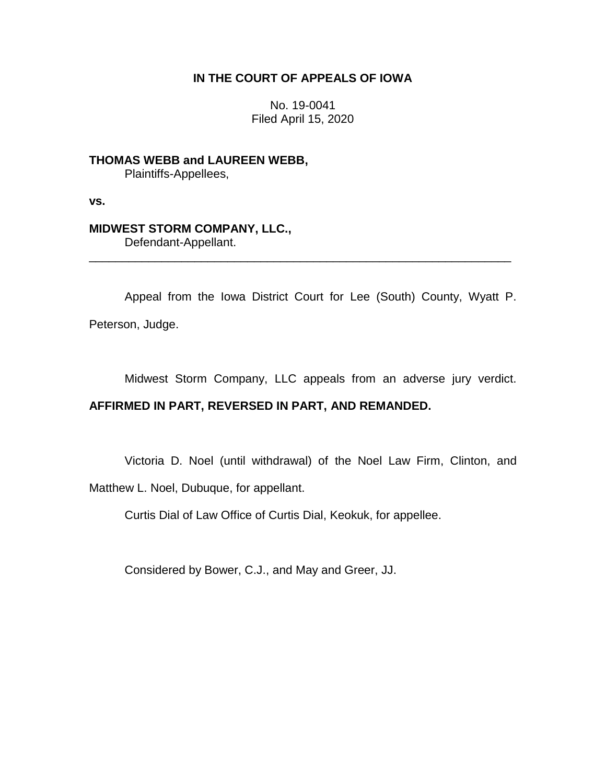## **IN THE COURT OF APPEALS OF IOWA**

No. 19-0041 Filed April 15, 2020

**THOMAS WEBB and LAUREEN WEBB,** Plaintiffs-Appellees,

**vs.**

## **MIDWEST STORM COMPANY, LLC.,**

Defendant-Appellant.

Appeal from the Iowa District Court for Lee (South) County, Wyatt P. Peterson, Judge.

\_\_\_\_\_\_\_\_\_\_\_\_\_\_\_\_\_\_\_\_\_\_\_\_\_\_\_\_\_\_\_\_\_\_\_\_\_\_\_\_\_\_\_\_\_\_\_\_\_\_\_\_\_\_\_\_\_\_\_\_\_\_\_\_

Midwest Storm Company, LLC appeals from an adverse jury verdict.

# **AFFIRMED IN PART, REVERSED IN PART, AND REMANDED.**

Victoria D. Noel (until withdrawal) of the Noel Law Firm, Clinton, and

Matthew L. Noel, Dubuque, for appellant.

Curtis Dial of Law Office of Curtis Dial, Keokuk, for appellee.

Considered by Bower, C.J., and May and Greer, JJ.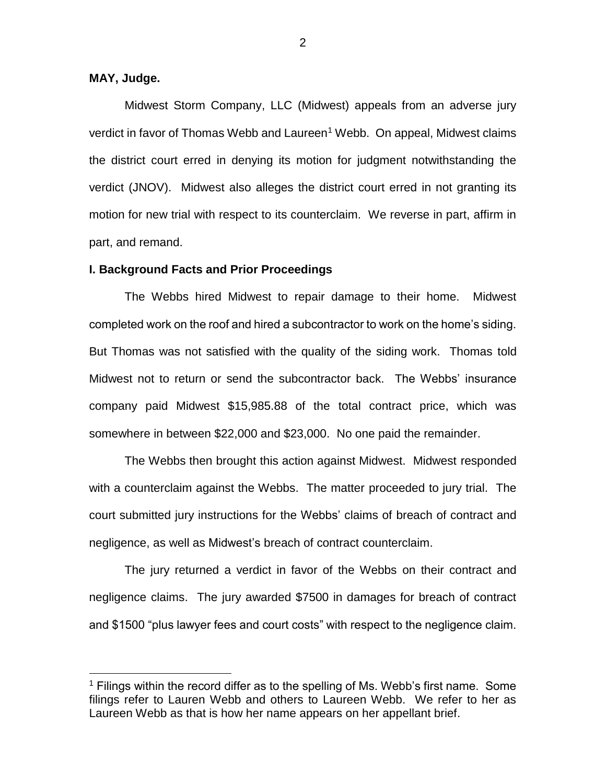## **MAY, Judge.**

 $\overline{a}$ 

Midwest Storm Company, LLC (Midwest) appeals from an adverse jury verdict in favor of Thomas Webb and Laureen<sup>1</sup> Webb. On appeal, Midwest claims the district court erred in denying its motion for judgment notwithstanding the verdict (JNOV). Midwest also alleges the district court erred in not granting its motion for new trial with respect to its counterclaim. We reverse in part, affirm in part, and remand.

#### **I. Background Facts and Prior Proceedings**

The Webbs hired Midwest to repair damage to their home. Midwest completed work on the roof and hired a subcontractor to work on the home's siding. But Thomas was not satisfied with the quality of the siding work. Thomas told Midwest not to return or send the subcontractor back. The Webbs' insurance company paid Midwest \$15,985.88 of the total contract price, which was somewhere in between \$22,000 and \$23,000. No one paid the remainder.

The Webbs then brought this action against Midwest. Midwest responded with a counterclaim against the Webbs. The matter proceeded to jury trial. The court submitted jury instructions for the Webbs' claims of breach of contract and negligence, as well as Midwest's breach of contract counterclaim.

The jury returned a verdict in favor of the Webbs on their contract and negligence claims. The jury awarded \$7500 in damages for breach of contract and \$1500 "plus lawyer fees and court costs" with respect to the negligence claim.

 $1$  Filings within the record differ as to the spelling of Ms. Webb's first name. Some filings refer to Lauren Webb and others to Laureen Webb. We refer to her as Laureen Webb as that is how her name appears on her appellant brief.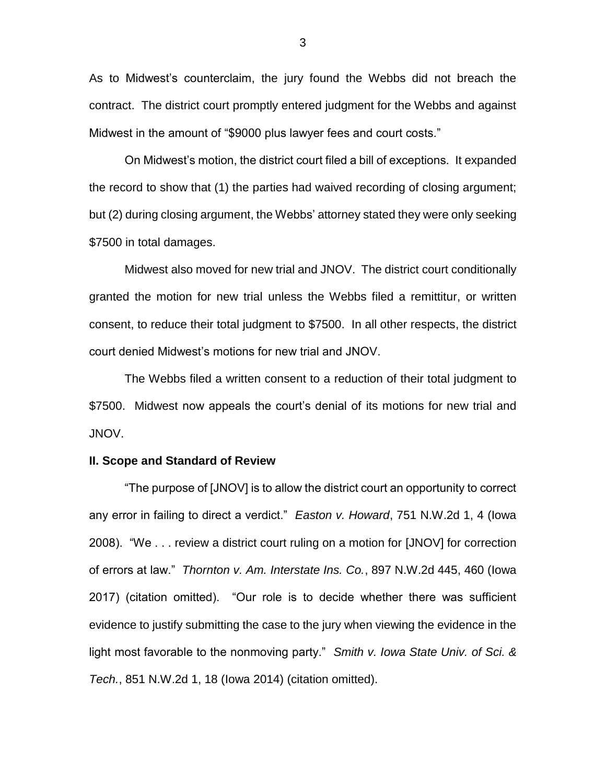As to Midwest's counterclaim, the jury found the Webbs did not breach the contract. The district court promptly entered judgment for the Webbs and against Midwest in the amount of "\$9000 plus lawyer fees and court costs."

On Midwest's motion, the district court filed a bill of exceptions. It expanded the record to show that (1) the parties had waived recording of closing argument; but (2) during closing argument, the Webbs' attorney stated they were only seeking \$7500 in total damages.

Midwest also moved for new trial and JNOV. The district court conditionally granted the motion for new trial unless the Webbs filed a remittitur, or written consent, to reduce their total judgment to \$7500. In all other respects, the district court denied Midwest's motions for new trial and JNOV.

The Webbs filed a written consent to a reduction of their total judgment to \$7500. Midwest now appeals the court's denial of its motions for new trial and JNOV.

### **II. Scope and Standard of Review**

"The purpose of [JNOV] is to allow the district court an opportunity to correct any error in failing to direct a verdict." *Easton v. Howard*, 751 N.W.2d 1, 4 (Iowa 2008). "We . . . review a district court ruling on a motion for [JNOV] for correction of errors at law." *Thornton v. Am. Interstate Ins. Co.*, 897 N.W.2d 445, 460 (Iowa 2017) (citation omitted). "Our role is to decide whether there was sufficient evidence to justify submitting the case to the jury when viewing the evidence in the light most favorable to the nonmoving party." *Smith v. Iowa State Univ. of Sci. & Tech.*, 851 N.W.2d 1, 18 (Iowa 2014) (citation omitted).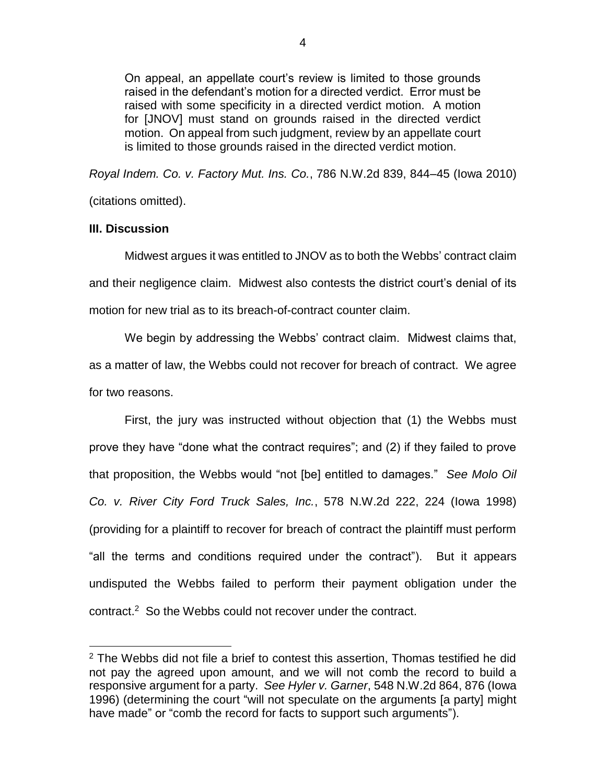On appeal, an appellate court's review is limited to those grounds raised in the defendant's motion for a directed verdict. Error must be raised with some specificity in a directed verdict motion. A motion for [JNOV] must stand on grounds raised in the directed verdict motion. On appeal from such judgment, review by an appellate court is limited to those grounds raised in the directed verdict motion.

*Royal Indem. Co. v. Factory Mut. Ins. Co.*, 786 N.W.2d 839, 844–45 (Iowa 2010)

(citations omitted).

# **III. Discussion**

 $\overline{a}$ 

Midwest argues it was entitled to JNOV as to both the Webbs' contract claim and their negligence claim. Midwest also contests the district court's denial of its motion for new trial as to its breach-of-contract counter claim.

We begin by addressing the Webbs' contract claim. Midwest claims that, as a matter of law, the Webbs could not recover for breach of contract. We agree for two reasons.

First, the jury was instructed without objection that (1) the Webbs must prove they have "done what the contract requires"; and (2) if they failed to prove that proposition, the Webbs would "not [be] entitled to damages." *See Molo Oil Co. v. River City Ford Truck Sales, Inc.*, 578 N.W.2d 222, 224 (Iowa 1998) (providing for a plaintiff to recover for breach of contract the plaintiff must perform "all the terms and conditions required under the contract"). But it appears undisputed the Webbs failed to perform their payment obligation under the contract.<sup>2</sup> So the Webbs could not recover under the contract.

 $2$  The Webbs did not file a brief to contest this assertion, Thomas testified he did not pay the agreed upon amount, and we will not comb the record to build a responsive argument for a party. *See Hyler v. Garner*, 548 N.W.2d 864, 876 (Iowa 1996) (determining the court "will not speculate on the arguments [a party] might have made" or "comb the record for facts to support such arguments").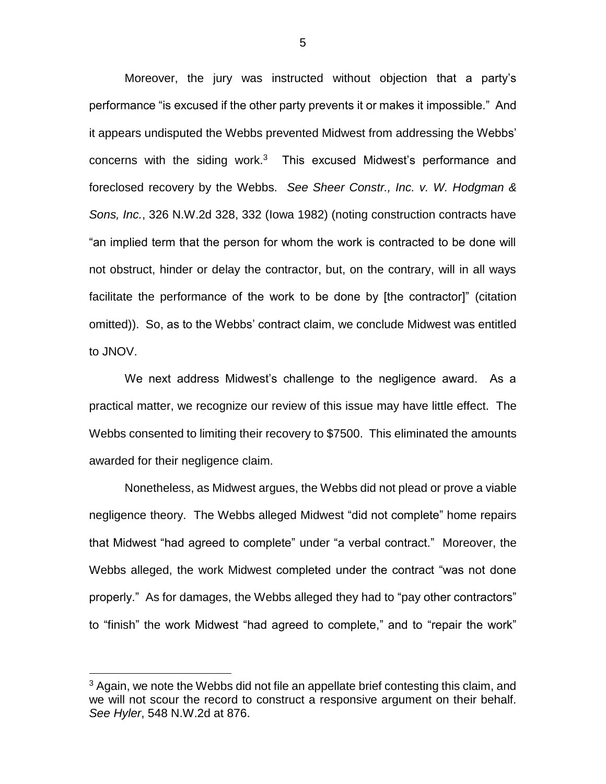Moreover, the jury was instructed without objection that a party's performance "is excused if the other party prevents it or makes it impossible." And it appears undisputed the Webbs prevented Midwest from addressing the Webbs' concerns with the siding work. $3$  This excused Midwest's performance and foreclosed recovery by the Webbs. *See Sheer Constr., Inc. v. W. Hodgman & Sons, Inc.*, 326 N.W.2d 328, 332 (Iowa 1982) (noting construction contracts have "an implied term that the person for whom the work is contracted to be done will not obstruct, hinder or delay the contractor, but, on the contrary, will in all ways facilitate the performance of the work to be done by [the contractor]" (citation omitted)). So, as to the Webbs' contract claim, we conclude Midwest was entitled to JNOV.

We next address Midwest's challenge to the negligence award. As a practical matter, we recognize our review of this issue may have little effect. The Webbs consented to limiting their recovery to \$7500. This eliminated the amounts awarded for their negligence claim.

Nonetheless, as Midwest argues, the Webbs did not plead or prove a viable negligence theory. The Webbs alleged Midwest "did not complete" home repairs that Midwest "had agreed to complete" under "a verbal contract." Moreover, the Webbs alleged, the work Midwest completed under the contract "was not done properly." As for damages, the Webbs alleged they had to "pay other contractors" to "finish" the work Midwest "had agreed to complete," and to "repair the work"

 $\overline{a}$ 

 $3$  Again, we note the Webbs did not file an appellate brief contesting this claim, and we will not scour the record to construct a responsive argument on their behalf. *See Hyler*, 548 N.W.2d at 876.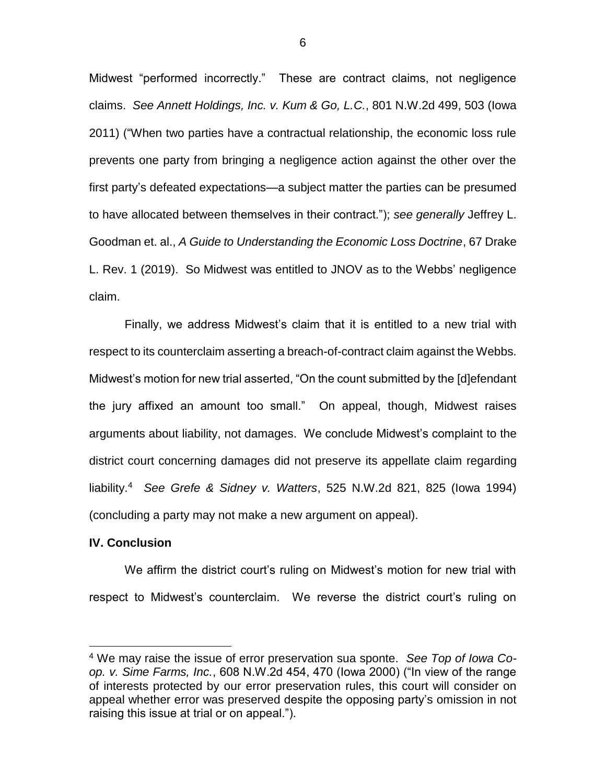Midwest "performed incorrectly." These are contract claims, not negligence claims. *See Annett Holdings, Inc. v. Kum & Go, L.C.*, 801 N.W.2d 499, 503 (Iowa 2011) ("When two parties have a contractual relationship, the economic loss rule prevents one party from bringing a negligence action against the other over the first party's defeated expectations—a subject matter the parties can be presumed to have allocated between themselves in their contract."); *see generally* Jeffrey L. Goodman et. al., *A Guide to Understanding the Economic Loss Doctrine*, 67 Drake L. Rev. 1 (2019). So Midwest was entitled to JNOV as to the Webbs' negligence claim.

Finally, we address Midwest's claim that it is entitled to a new trial with respect to its counterclaim asserting a breach-of-contract claim against the Webbs. Midwest's motion for new trial asserted, "On the count submitted by the [d]efendant the jury affixed an amount too small." On appeal, though, Midwest raises arguments about liability, not damages. We conclude Midwest's complaint to the district court concerning damages did not preserve its appellate claim regarding liability. 4 *See Grefe & Sidney v. Watters*, 525 N.W.2d 821, 825 (Iowa 1994) (concluding a party may not make a new argument on appeal).

### **IV. Conclusion**

 $\overline{a}$ 

We affirm the district court's ruling on Midwest's motion for new trial with respect to Midwest's counterclaim. We reverse the district court's ruling on

<sup>4</sup> We may raise the issue of error preservation sua sponte. *See Top of Iowa Coop. v. Sime Farms, Inc.*, 608 N.W.2d 454, 470 (Iowa 2000) ("In view of the range of interests protected by our error preservation rules, this court will consider on appeal whether error was preserved despite the opposing party's omission in not raising this issue at trial or on appeal.").